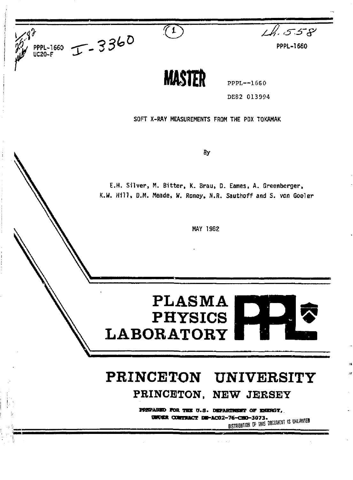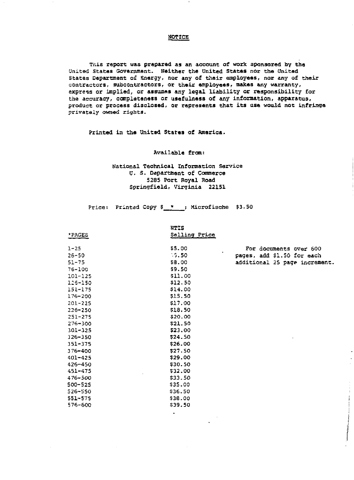#### NOTICE

This report was prepared as an account of work sponsored by the United States Government. Neither the United States nor the United States Department of Energy, nor any of their employees, nor any of their contractors, subcontractors, or their employees, makes any warranty, express or implied, or assumes any legal liability or responsibility for the accuracy, completeness or usefulness of any information, apparatus, product or process disclosed, or represents that its use would not infringe privately owned rights.

Printed in the United States of America.

#### Available from:

# National Technical Information Service U. s. Department of Commerce 5285 Port Royal Road Springfield, Virginia 22151

Price: Printed Copy \$\_\*\_\_; Microfische \$3.50

 $\bullet$ 

|        | <b>NTIS</b>   |
|--------|---------------|
| *PAGES | Salling Price |

| $1 - 25$    | \$5.00  | For documents over 600          |
|-------------|---------|---------------------------------|
| $26 - 50$   | $-3.50$ | ٠<br>pages, add \$1.50 for each |
| $51 - 75$   | \$8.00  | additional 25 page increment.   |
| 76-100      | \$9.50  |                                 |
| $101 - 125$ | \$11.00 |                                 |
| 126-150     | \$12.50 |                                 |
| $151 - 175$ | \$14.00 |                                 |
| $176 - 200$ | \$15.50 |                                 |
| $201 - 225$ | \$17.00 |                                 |
| $226 - 250$ | \$18.50 |                                 |
| $251 - 275$ | \$20.00 |                                 |
| $276 - 300$ | \$21.50 |                                 |
| $301 - 325$ | \$23.00 |                                 |
| $326 - 350$ | \$24.50 |                                 |
| $351 - 375$ | \$26.00 |                                 |
| 376-400     | \$27.50 |                                 |
| $401 - 425$ | \$29.00 |                                 |
| 426~450     | \$30.50 |                                 |
| $451 - 475$ | \$32.00 |                                 |
| $476 - 500$ | \$33.50 |                                 |
| 500-525     | \$35.00 |                                 |
| 526-550     | \$36.50 |                                 |
| 551-575     | \$38.00 |                                 |
| 576-600     | \$39.50 |                                 |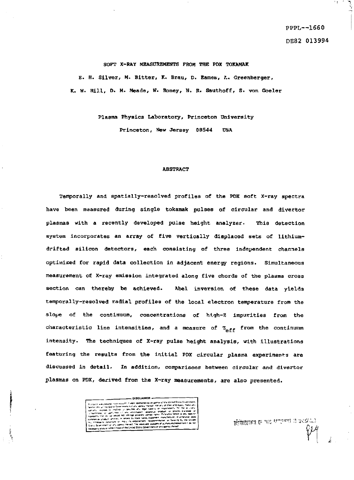ે

#### SOFT X-RAY MEASUREMENTS FROM THE PDX TOKAMAK

E. H. Silver, M. Bitter, K. Brau, D. Eames, *L. Greenberger*, **K. W. Hill , D. M. Meade, W. Roney, N. R. Sauthoff, S. von Goeler** 

> **Plasma Physics Laboratory, Princeton University Princeton, New Jersey 08544 USA**

#### **ABSTRACT**

Temporally and spatially-resolved profiles of the PDX soft X-ray spectra have been maasured during single tokaraak pulses of circular and divertor plasmas with a recently developed pulse height analyzer. This detection system incorporates an array of five vertically displaced sets of lithiumdrifted silicon detectors, each consisting of three independent channels optimised for rapid data collection in adjacent energy regions. Simultaneous measurement of X-ray emission integrated along five chords of the plasma cross section can thereby be achieved. Abel inversion of these data yields temporally-resolved radial profiles of the local electron temperature from the slope of the continuum, concentrations of high-Z impurities from the characteristic line intensities, and a measure of  $z_{eff}$  from the continuum intensity. The techniques of X-ray pulse height analysis, with illustrations featuring the results from the initial PDX circular plasma experiments are discussed in detail. In addition, comparisons between circular and divertor plasmas on PDX, derived from the X-ray measurements, are also presented.

**\_ DISCLAIMER \* »\*--«** *r.* **\* v i'**  - court-of- portal rates of Theory 115 <del>coupons from an application</del> of the Political Property of the Political Property of the Political Property of the Political Property of the Political Property of the Political Proper

*mmn* P *^'?""' <sup>C</sup>*

*(M*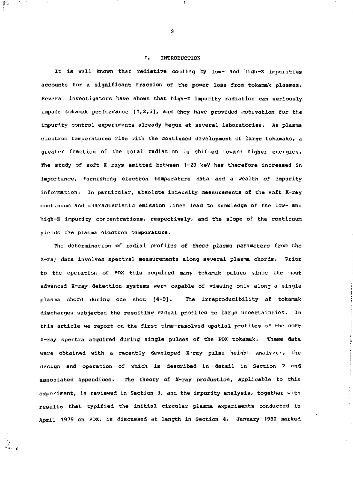# 1. INTRODUCTION

It is well known that radiative cooling by low- and high-Z impurities accounts for a significant fraction of the power loss from tokamak plasmas. Several investigators have shown that high-Z impurity radiation can seriously impair tokamak performance  $\{1,2,3\}$ , and they have provided motivation for the impurity control experiments already begun at several laboratories. As plasma electron temperatures rise with the continued development of large tokamaks, a greater fraction of the total radiation is shifted toward higher energies. The study of soft X rays emitted between 1—20 keV has therefore increased in importance, furnishing electron temperature data and a wealth of impurity information. In particular, absolute intensity measurements of the soft X-ray continuum and characteristic emission lines lead to knowledge of the low- and high-Z impurity concentrations, respectively, and the slope of the continuum yields the plasma electron temperature.

The determination of radial profiles of these plasma parameters from the X-ra^ data involves spectral measurements along several plasma chords. Prior to the operation of PDX this required many tokamak pulses since the most advanced X-ray detection systems were capable of viewing only along a single plasma chord during one shot [4-9]. The irreproducibility of tokamak discharges subjected the resulting radial profiles to large uncertainties. In this article we report on the first time-resolved spatial profiles of the soft X-ray spectra acquired during single pulses of the PDX tokamak. These data were obtained with a recently developed X-ray pulse height analyzer, the design and operation of which is described in detail in Section 2 and associated appendices. The theory of X-ray production, applicable to this experiment, is reviewed in Section 3, and the impurity analysis, together with results that typified the initial circular plasma experiments conducted in April 1979 on PDX, is discussed at length in Section 4. January 1980 marked

2

書店

 $\frac{1}{2\kappa}$  .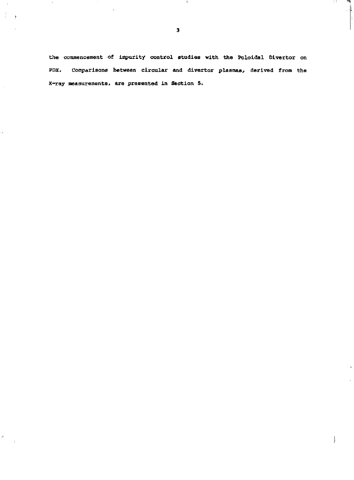**3** 

 $\rightarrow$ 

 $\mathcal{I}^+$ 

 $\mathcal{P}_i$ 

 $\sim$ r

**I I I I** 

**the commencement of impurity control studies with the Pololdal Dlvertor on PDX. Comparisons between circular and divertor plasmas, derived from the X-ray measurements. are presented in Section 5.**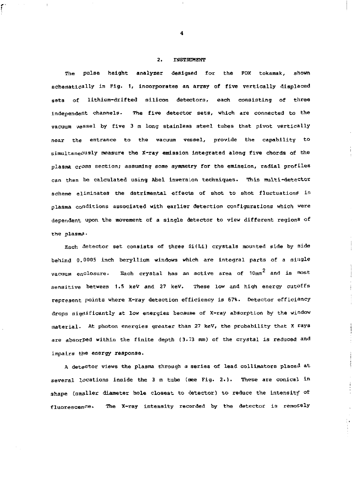#### 2. INSTRUMENT

The pulse height analyzer designed for the PDX tokamak, shown schematically in Fig. 1, incorporates an array of five vertically displaced sets of lithium-drifted silicon detectors, each consisting of three independent channels- The five detector sets, which are connected to the vacuum vessel by five 3 m long stainless steel tubes that pivot vertically near the entrance to the vacuum vessel, provide the capability to simultaneously measure the X-ray emission integrated along five chords of the plasma crass section; assuming sone symmetry for the emission, radial profiles can then be calculated using Abel inversion techniques. This multi-detector scheme eliminates the detrimental effects of shot to shot fluctuations in plasma conditions associated with earlier detection configurations which were dependent upon the movement of a single detector to view different regions of the plasma•

Each detector get consists of three Si(Li) crystals mounted side by side behind 0.0005 inch beryllium windows which are integral parts of a aiugle vacuum enclosure. Each crystal has an active area of  $10 \text{mm}^2$  and is most sensitive between 1.5 keV and 27 keV. These low and high energy cutoffs represent points where X-ray detection efficiency is 67%. Detector efficiency drops sigrlificantly at low energies because of X-ray absorption by the window material. At photon energies greater than 27 keV, the probability that X rays are absorPed within the finite depth (3.73 mm) of the crystal is reduced and impairs the energy response.

A detector views the plasma through a series of lead collimators placed at several locations inside the 3 m tube (see Fig. 2.). These are conical in shape (smaller diameter hole closest to detector) to reduce the intensity of fluorescence. The X-ray intensity recorded by the detector is remotely

 $\begin{array}{c} \frac{1}{2} \\ \frac{1}{2} \end{array}$ 

4

f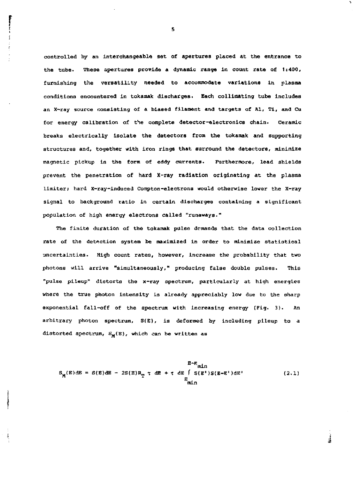**controlled by an Interchangeable set of apertures placed at the entrance to the tube. These apertures provide a dynamic range in count rate of 1:400, furnishing the versatility needed to accommodate variations in plasma conditions encountered in tokamak discharges. Each collimating tube includes an X-ray source consisting of a biased filament and targets of Al, Tl, and Cu for energy calibration of the complete detector-electronics chain. Ceramic breaks electrically isolate the detectors from the tokamak and supporting structures and, together with iron rings that surround the detectors, minimize magnetic pickup in the form of eddy currents. Furthermore, lead shields prevent the penetration of hard X-ray radiation originating at the plasma limiter; hard X-ray-induced Compton-electrons would otherwise lower the X-ray signal to background ratio in certain discharges containing a significant population of high energy electrons called "runaways."** 

The finite duration of the tokamak pulse demands that the data collection **rate of the detection system be maximized in order to minimize statistical uncertainties. High count rates, however. Increase the probability that two photons will arrive "simultaneously," producing false double pulses. This "pulse pileup" distorts the x-ray spectrum, particularly at high energies where the true photon intensity is already appreciably low due to the sharp**  exponential fall-off of the spectrum with increasing energy (Fig. 3). An **arbitrary photon spectrum, S(E), is deformed by including pileup to a**  distorted spectrum,  $S_M(E)$ , which can be written as

$$
S_M(E) \, dE = S(E) \, dE - 2S(E) R_T \tau \, dE + \tau \, dE \int_S (E') S(E-E') \, dE'
$$
 (2.1)

ŧ

s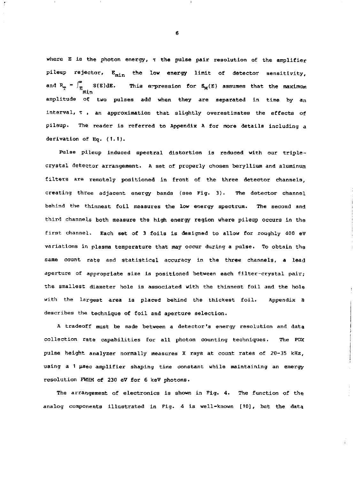where E is the photon energy,  $\tau$  the pulse pair resolution of the amplifier pileup rejector,  $E_{min}$  the low energy limit of detector sensitivity, This expression for  $S_M(E)$  assumes that the maximum and  $R_T = \int_{E_{min}}^{\infty} S(E) dE.$ amplitude of two pulses add when they are separated in time by an interval,  $\tau$ , an approximation that slightly overestimates the effects of pileup. The reader is referred to Appendix A for more details including a derivation of Eq. (1.1).

Pulse pileup induced spectral distortion is reduced with our triplecrystal detector arrangement. A set of properly chosen beryllium and aluminum filters are remotely positioned in front of the three detector channels, creating three adjacent energy bands {see Fig. 3). The detector channel behind the thinnest foil measures the low energy spectrum. The second and third channels both measure the high energy region where pileup occurs in the first channel. Each set of 3 foils is designed to allow for roughly 400 eV variations in plasma temperature that may occur during a pulse. To obtain the same count rate and statistical accuracy in the three channels, a lead aperture of appropriate size is positioned between each filter-crystal pair; the smallest diameter hole is associated with the thinnest foil and the hole with the largest area is placed behind the thickest foil. Appendix B describes the technique of foil and aperture selection.

A tradeoff must be made between a detector's energy resolution and data collection rate capabilities for all photon counting techniques. The PDX pulse height analyzer normally measures X rays at count rates of 20-35 kHz, using a 1 usec amplifier shaping time constant while maintaining an energy resolution FWHM of 230 eV for 6 keV photons.

The arrangement of electronics is shown in Fig. 4. The function of the analog components illustrated in Fig. 4 is well-known [10], but the data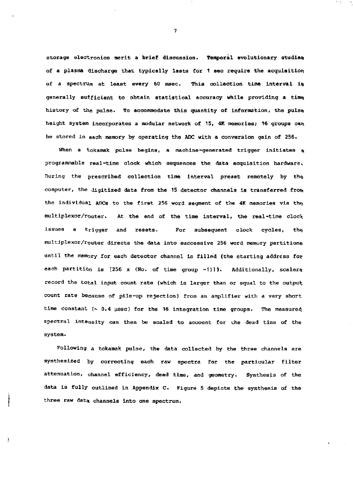storage electronics merit a brief discussion. Temporal evolutionary studies of a plasma discharge that typically lasts for 1 sec require the acquisition of a spectrum at least every 60 msec. This collection time interval is generally sufficient to obtain statistical accuracy while providing a time history of the pulse. To accommodate this quantity of information, the pulse height system incorporates a modular network of 15, 4K memories; 16 groups can be stored in each memory by operating the ADC with a conversion gain of 256.

When a tokamak pulse begins, a machine-generated trigger initiates a programmable real-time clock which sequences the data acquisition hardware, During the prescribed collection time interval preset remotely by the computer, the digitized data from the 15 detector channels is transferred froni the individual ADCs to the first 256 word segment of the 4K memories via the multiplexor/router. At the end of the time interval, the real-time clock issues a trigger and resets. For subsequent clock cycles, the multiplexor/router directs the data into successive 256 word memory partitions until the memory for each detector channel is filled (the starting address for each partition is [256 x (No. of time group -1)]). Additionally, scalers record the total input count rate (which is larger than or equal to the output count rate because of pile-up rejection) from an amplifier with a very short time constant  $(-0.4 \text{ }\mu\text{sec})$  for the 16 integration time groups. The measured spectral intensity can then be scaled to account for the dead time of the system.

Following a tokamak pulse, the data collected by the three channels are synthesized by correcting each raw spectra for the particular filter attenuation, channel efficiency, dead time, and geometry. Synthesis of the data is fully outlined in Appendix C. Figure 5 depicts the synthesis of the three raw data channels into one spectrum.

À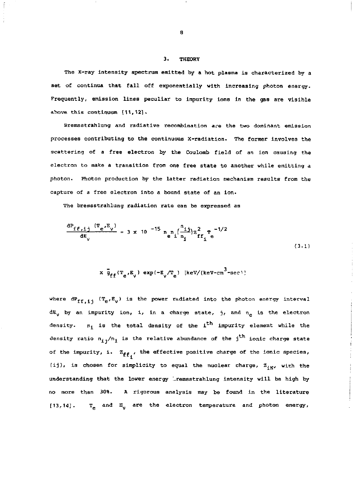#### 3. THEORY

The X-ray intensity spectrum emitted by a hot plasma is characterized by a set of continua that fall off exponentially with increasing photon energy. Frequently, emission lines peculiar to impurity ions in the gas are visible ahove this continuum [11,121.

Bremsstrahlung and radiative recombination *are* the two dominant emission processes contributing to the continuous X-radiation. The former involves the scattering of *a* free electron by the Coulomb field of *an ion* causing the electron to make a transition from one free state to another while emitting a photon. Photon production by the latter radiation mechanism results from the capture of a free electron into a bound state of an ion.

The bremsstrahlung radiation rate can be expressed as

$$
\frac{dP_{ff,1j} (T_e^E)^3}{dE_v} = 3 \times 10^{-15} n_e n_i (\frac{n_{1j}}{n_1}) z_{ff_1}^2 e^{-1/2}
$$
\n(3.1)

$$
\times \overline{g}_{ff}(T_e, E_y) \exp(-E_y/T_e) \left[\text{keV/(keV-cm}^3\text{-sec})\right]
$$

where  $dP_{ff}$ , ( $T_e$ , $E_y$ ) is the power radiated into the photon energy interval  $dE<sub>y</sub>$  by an impurity ion, i, in a charge state, j, and  $n_e$  is the electron density.  $n_1$  is the total density of the i<sup>th</sup> impurity element while the density ratio  $n_{i,j}/n_j$  is the relative abundance of the j<sup>th</sup> ionic charge state of the impurity, i.  $z_{ff}$ , the effective positive charge of the ionic species, (ij), is chosen for simplicity to equal the nuclear charge,  $z_{\text{av}}$ , with the understanding that the lower energy iremsstrahlung intensity will be high by no more than 30%. *A* rigorous analysis may be found in the literature [13,14].  $T_{\rho}$  and  $E_{ij}$  are the electron temperature and photon energy,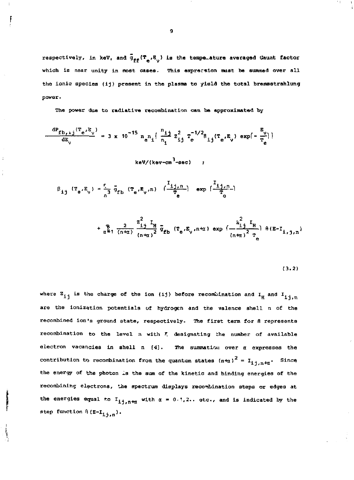respectively, in keV, and  $\bar{g}_{ff}(T_{e'}B_{v})$  is the tempe-ature averaged Gaunt factor which is near unity in most cases. This exprecsion must be summed over all **the ionic species (ij) present in the plasma to yield the total brerasstrahlung power\*** 

**The power due to radiative recombination can be approximated by** 

$$
\frac{dP_{fb,ij}(T_e, E_y)}{dE_y} = 3 \times 10^{-15} n_e n_i \left\{ \frac{n_{ij}}{n_i} z_{ij}^2 T_e^{-1/2} R_{ij}(T_e, E_y) \exp(-\frac{E_y}{T_e}) \right\}
$$
  
keV/(kev-cm<sup>3</sup>-sec)

 $\beta_{1j}$  ( $T_e$ , $E_y$ ) =  $\frac{1}{2}$   $\bar{g}_{fb}$  ( $T_e$ , $E_y$ , $n$ )  $\left(\frac{\pm 1}{T_e} \right)$  exp  $\left(\frac{\pm 1}{T_e} \right)$ 

$$
+\frac{8}{\alpha^2}, \frac{2}{(n+\alpha)}\frac{z_{11}^2}{(n+\alpha)^2}\bar{g}_{fb} (T_e, E_y, n+\alpha) \exp\big(\frac{z_{11}^2}{(n+\alpha)^2} \frac{I_H}{T_e}\big) \theta(E-I_{1,1,n})
$$

**(3.2)** 

where  $z_{i j}$  is the charge of the ion (ij) before recombination and  $I_H$  and  $I_{i j, n}$ **<sup>1</sup>-J n 1J, n electron vacancies in shell n** *[<]***. The summation over a expresses the contribution t<> recombination from the quantum states (n-ta)2 = IJJ n+a ' Since**  recombining electrons, the spectrum displays recombination steps or edges at **recombining electrons, the spectrum displays reco><&ination steps or edges at the energies equal to lj\_jfn+t <sup>t</sup> with** *a* **= 0-1,2.. etc., and is indicated by the**  step function  $\theta$  ( $E-L_{1+1}$ ).

Ì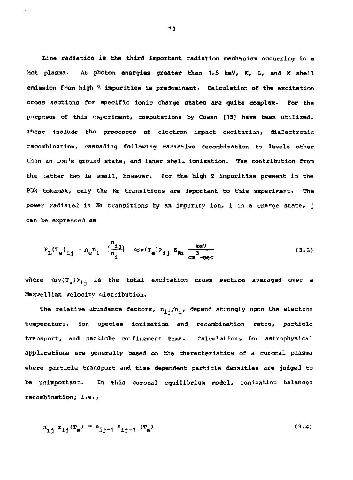Line radiation is the third important radiation mechanism occurring in a hot plasma. At photon energies greater than 1.5 keV, K, L, and M ahell emission f-om high *%* impurities is predominant. Calculation of the excitation cross sections for specific ionic charge states are quite complex. For the purposes of this experiment, computations by Cowan [15] have been utilized. These include the processes of electron impact excitation, dielectronic recombination, cascading following radiative recombination to levels other than an ion's ground state, and inner shell ionization. The contribution from the latter two is small, however. For the high Z impurities present in the PDX tokamak, only the Ka transitions are important to this experiment. The power radiated in Kt transitions by an impurity ion, i in a cnarge state, j can be expressed as

$$
P_{L}(T_e)_{ij} = n_e n_i \left(\frac{n_{ij}}{n_i}\right) \quad \langle \sigma v(T_e) \rangle_{ij} \quad E_{K\alpha} \frac{k eV}{cn^3 - sec}
$$
 (3.3)

where  $\langle \sigma v(T^3) \rangle_{1,i}$  is the total excitation cross section averaged over a Maxwellian velocity distribution.

The relative abundance factors,  $n_{1,i}/n_{1,i}$  depend strongly upon the electron temperature, ion species ionization and recombination rates, particle transport, and particle confinement time. Calculations for astrophysical applications are generally based on the characteristics of a coronal plasma where particle transport and time dependent particle densities are judged to be unimportant. In this coronal equilibrium model, ionization balances recombination; i.e.,

$$
n_{1j} a_{ij} (T_e) = n_{ij-1} S_{ij-1} (T_e)
$$
 (3.4)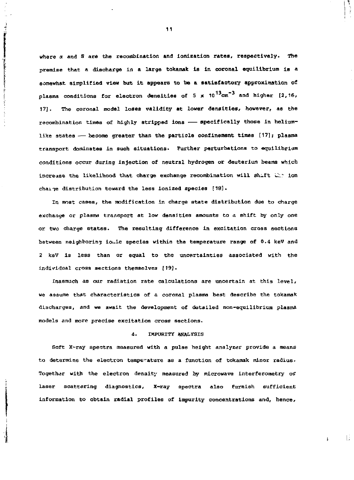where  $\alpha$  and S are the recombination and ionization rates, respectively. The **premise that a discharge in a large tokamak is in coronal equilibrium is a somewhat simplified view but it appears to be a satisfactory approximation of plasma conditions Eor electron densities of 5 x 101 3 cm~3 and higher [2,16, 17]. The coronal model loses validity at lower densities, however, as the**  recombination times of highly stripped ions -- specifically those in helium**like states—become greater than the particle confinement times [17]; plasma transport dominates in such situations. Further perturbations to equilibrium conditions occur during injection of neutral hydrogen or deuterium beams which increase the likelihood that charge exchange recombination will shift L."::~ ion chai-je distribution toward the less ionized species [18].** 

**In most cases, the modification in charge state distribution due to charge exchange or plasma transport at low densities amounts to a shift by only one or two charge states. The resulting difference in excitation cross sections between neighboring io^ic species within the temperature range of 0.4 keV and 2 kev is less than or equal to the uncertainties associated with the individual cross sections themselves [19].** 

**Inasmuch as our radiation rate calculations are uncertain at this level, we assume that characteristics of a coronal plasma best describe the tokamak discharges, and we await the development of detailed non-equilibrium plasma models and more precise excitation cross sections.** 

# *i.* **IMPURITY ANALYSIS**

**Soft X-ray spectra measured with a pulse height analyzer provide a means to determine the electron temperature as a function of tokamak minor radius. Together with the electron density measured by microwave interferometry or laser scattering diagnostics. X-ray spectra also furnish sufficient information to obtain radial profiles of Impurity concentrations and, hence.** 

-li

á.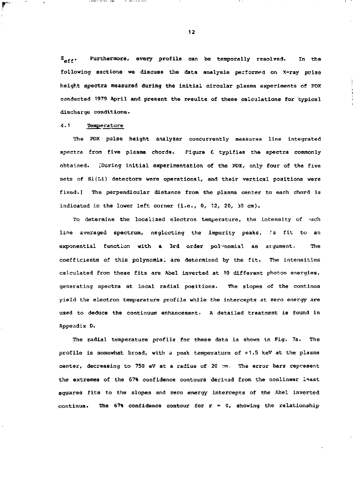$z_{\text{after}}$ . Furthermore, every profile can be temporally resolved. In the following sections we discuss the data analysis performed on X-ray pvlse height spectra measured during the initial circular plasma experiments of PDX conducted 1979 April and present the results of these calculations for typical discharge conditions.

# 4.1 Temperature

facilitation of the company of the company

The PDX pulse height analyzer concurrently measures line Integrated spectra from five plasma chords. Figure £ typifies the spectra commonly obtained. ;During initial experimentation of the PDX, only four of the five sets of Si(Li) detectors were operational, and their vertical positions were fixed.] The perpendicular distance from the plasma center to each chord is indicated in the lower left corner  $(i.e., 0, 12, 20, 30$  cm).

To determine the localized electron temperature, the intensity of each line averaged spectrum, neglecting the impurity peaks, is fit to an exponential function with a 3rd order pol-'nomial as argument. The coefficients of this polynomia. are determined by the fit. The intensities calculated from these fits are Abel inverted at 10 different photon energies, generating spectra at local radial positions. The slopes of the continua yield the electron temperature profile while the intercepts at zero energy are used to deduce the continuum enhancement. A detailed treatment is found in Appendix D.

The radial temperature profile for these data is shown in Pig. 7a. The profile is somewhat broad, with a peak temperature of  $\approx 1.5$  keV at the plasma center, decreasing to 750 eV at a radius of 20 mm. The error bars represent the extremes of the 67% confidence contours derived from the nonlinear laast squares fits to the slopes and zero energy intercepts of the Abel inverted continua. The 67% confidence contour for  $r = 0$ , showing the relationship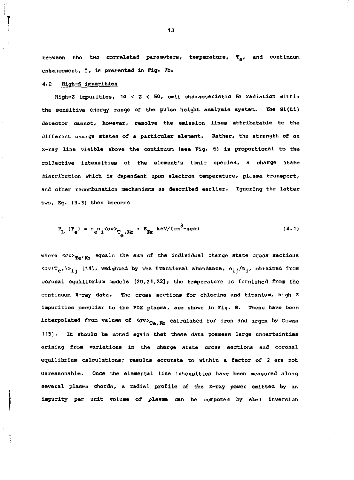between the two correlated parameters, temperature,  $T_{\alpha}$ , and continuum enhancement, *C,* is presented in Fig. 7b.

## 4.2 High-Z impurities

High-Z impurities,  $14 < Z < 50$ , emit characteristic Ra radiation within the sensitive energy range of the pulse height analysis system. The Si(Li) detector cannot, however, resolve the emission lines attributable to the different charge states of a particular element. Rather, the strength of an x-ray line visible above the continuum (see Fig. 6} is proportional to the collective intensities of the element's ionic species, a charge state distribution which is dependent upon electron temperature, plasma transport, and other recombination mechanisms as described earlier. Ignoring the latter two, Eq. (3.3) then becomes

$$
P_{L} (T_{e}) = n_{e} n_{1} \langle \sigma v \rangle_{T_{e}} / K \alpha \cdot E_{K \alpha} k eV / (cm^{3} - sec)
$$
 (4.1)

where  *<av>Te'Ri* equals the sum of the individual charge state cross sections  $\langle \sigma v(T_{e'}) \rangle_{j,j}$  [14], weighted by the fractional abundance,  $n_{j,j}/n_j$ , obtained from coronal equilibrium models  $[20,21,22]$ ; the temperature is furnished from the continuum X-ray data. The cross sections for chlorine and titanium, high z impurities peculiar to the PDX plasma, are shown in Fig. 8. These have been interpolated from values of  $\langle \sigma v \rangle_{Te, K}$  calculated for iron and argon by Cowan [15]. It should be noted again that these data possess large uncertainties arising from variations in the charge state cross sections and coronal equilibrium calculations; results accurate to within a factor of 2 are not unreasonable. Once the elemental line intensities have been measured along several plasma chords, a radial profile of the X-ray power emitted by an impurity per unit volume of plasma can be computed by Abel inversion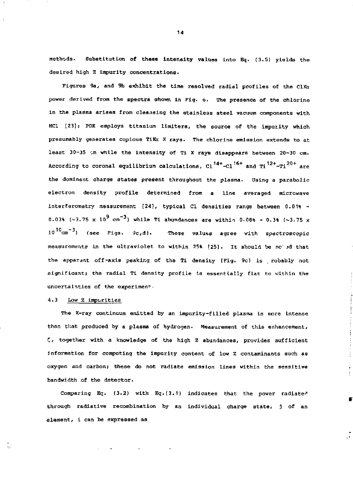methods. Substitution of these intensity values into Eq. (3.5) yields the desired high Z impurity concentrations.

Figures 9a, and 9h exhibit the time resolved radial profiles of the ClKn power derived from the spectra shown in Fig.  $\ddot{\circ}$ . The presence of the chlorine in the plasma arises from cleansing the stainless steel vacuum components with HCl [23] *;* PDX employs titanium limiters, the source of the impurity which presumably generates copious TiKa X rays. The chlorine emission extends to at. least 30-35 vm while the Intensity of Ti X rays disappears between 20-30 cm. According to coronal equilibrium calculations,  $C1^{14+}-C1^{16+}$  and  $T1^{12+}-T1^{20+}$  are the dominant charge states present throughout the plasma. Using a parabolic electron density profile determined from a line averaged microwave interferometry measurement [24}, typical CI densities range between 0.01% - 0.03% (~3.75 x  $10^9$  cm<sup>-3</sup>) while Ti abundances are within 0.08% - 0.3% (~3.75 x 1C -3 10 cm ) (see Figs. *9c,*d). These values agree with spectroscopic measurements in the ultraviolet to within 25% [25) . It should be no id that the apparent off-axis peaking of the Ti density (Fig. 9c) is . robably not significant; the radial Ti density profile is essentially flat to within the uncertainties of the experiment.

# 4.3 Low Z impurities

Ŵ.

The X-ray continuum emitted by an impurity-filled plasma is nore intense than that produced by a plasma of hydrogen. Measurement of this enhancement, *Z,* together with a knowledge of the high Z abundances, provides sufficient *i*nformation for computing the impurity content of low Z contaminants such as oxygen and carbon; these do not radiate emission lines within the sensitive bandwidth of the detector.

Comparing Eq. (3.2) with Eq.(3.1) indicates that the power radiated through radiative recombination by an individual charge state, j of an element, i can be expressed as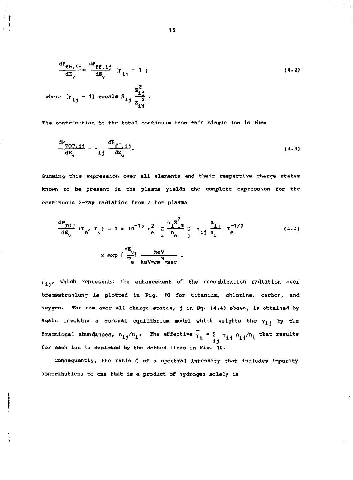$$
\frac{dP_{fb,1}}{dB_{\gamma}} = \frac{dP_{ff,1}}{dB_{\gamma}} [Y_{1j} - 1]
$$
\n(4.2)\nwhere  $[Y_{1j} - 1]$  equals  $\beta_{1j} \frac{Z_{1j}^2}{Z_{1N}^2}$ .

The contribution to the total continuum from this single ion is then

$$
\frac{dV_{TOT,ij}}{dE_{\gamma}} = \gamma_{ij} \frac{dP_{ff,ij}}{dE_{\gamma}}.
$$
\n(4.3)

Summing this expression over all elements and their respective charge etates known to be present in the plasma yields the complete expression for the continuous X-ray radiation from a hot plasma

$$
\frac{dP_{TOT}}{dB_{v}} (T_e, E_{v}) = 3 \times 10^{-15} \frac{m^2}{m^2} \sum_{i=1}^{n} \frac{n_i^2 N_i}{m^2} \sum_{j=1}^{n} \gamma_{1j} \frac{n_{1j}}{n_1} T_e^{-1/2}
$$
 (4.4)  

$$
\times \exp\left(\frac{-E_{v}}{T_e}\right) \frac{\text{keV}}{\text{keV} - \text{cm}^3 - \text{sec}}.
$$

 $\gamma_{ij}$ , which represents the enhancement of the recombination radiation over bremsstrahlung is plotted in Fig. 10 for titanium, chlorine, carbon, and oxygen. The sum over all charge states, j in Eq. (4.4) above, is obtained by again invoking a coronal equilibrium model which weights the  $\gamma_{1+}$  by the fractional abundances,  $n_i^2/n_i$ . The effective  $\gamma_i = \sum_{i=1}^n x_{i,i} n_i^2/n_i$ , that results for each ion is depicted by the dotted lines in Fig. 10.

Consequently, the ratio *Z* of a spectral intensity that includes impurity contributions to one that is a product of hydrogen solely is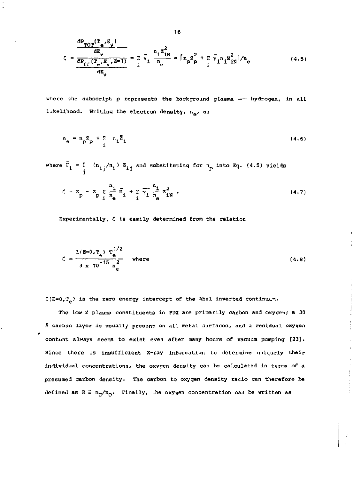$$
\zeta = \frac{\frac{dP_{TOT}(T_e, E_y)}{dE_y}}{\frac{dP_{ff}(T_e, E_y, Z=1)}{dE_y}} = \frac{E}{i} \bar{\gamma}_1 \frac{n_1 Z_{1N}^2}{n_e} = \left[n_p Z_p^2 + \sum_i \bar{\gamma}_i n_1 Z_{1N}^2\right] / n_e
$$
(4.5)

where the subscript  $p$  represents the background plasma  $--$  hydrogen, in all likelihood. Writing the electron density,  $n_{\alpha}$ , as

$$
n_e = n_p Z + \sum_i n_i \overline{Z}_i
$$
 (4.6)

where  $\bar{z}_i = \sum_i (n_{ij}/n_i) z_{ij}$  and substituting for  $n_p$  into Eq. (4.5) yields

$$
\zeta = z_p - z_p \sum_{i} \frac{n_i}{n_e} \bar{z}_i + \sum_{i} \bar{\gamma}_i \frac{n_i}{n_e} z_{iN}^2 . \qquad (4.7)
$$

Experimentally, C is easily determined from the relation

$$
\zeta = \frac{I(E=0, T_e) T_e^{1/2}}{3 \times 10^{-15} n_e^2} \quad \text{where} \tag{4.8}
$$

 $I(E=0,T_e)$  is the zero energy intercept of the Abel inverted continuum.

The low Z plasma constituents in PDX are primarily carbon and oxygen; a 30 A carbon layer is usually present on all metal surfaces, and a residual oxygen contunt always seems to exist even after many hours of vacuum pumping [23] . Since there is insufficient X-ray information to determine uniquely their individual concentrations, the oxygen density can be calculated in terms of a presumed carbon density. The carbon to oxygen density ratio can therefore be defined as  $R \equiv n_c/n_0$ . Finally, the oxygen concentration can be written as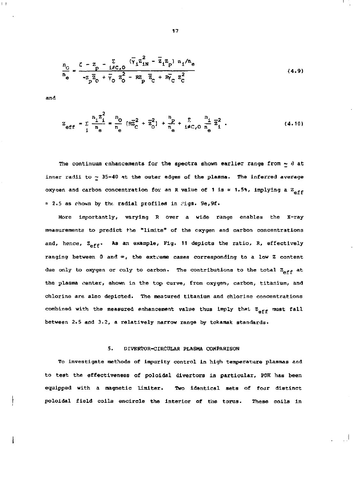$$
\frac{n_{\rm o}}{n_{\rm e}} = \frac{\zeta - z_{\rm p} - \frac{\Sigma}{1 \neq C_{\rm o}} (\bar{v}_{1} z_{1N}^{2} - \bar{z}_{1} z_{\rm p}) n_{1}/n_{\rm e}}{-z_{\rm p} \bar{z}_{\rm o} + \bar{v}_{\rm o} z_{\rm o}^{2} - R_{\rm p} z_{\rm c} + R_{\rm p}^{2} z_{\rm c}^{2}}
$$
(4.9)

and

 $\bar{t}$  .  $\bar{t}$ 

l

$$
Z_{eff} = \sum_{i} \frac{n_{i} Z_{i}^{2}}{n_{e}} = \frac{n_{0}}{n_{e}} [\overline{z}_{C}^{2} + \overline{z}_{O}^{2}] + \frac{n_{P}}{n_{e}} + \sum_{i \neq C, 0} \frac{n_{i}}{n_{e}} \overline{z}_{i}^{2}.
$$
 (4.10)

The continuum enhancements for the spectra shown earlier range from  $\sim$  8 at inner radii to  $\sim$  35-40 at the outer edges of the plasma. The inferred average oxygen and carbon concentration for an R value of 1 is = 1.5%, implying a  $\mathbb{Z}_{\geq 6, \epsilon}$  $= 2.5$  as chown by the radial profiles in rigs. 9e, 9f.

More importantly, varying R over a wide range enables the X-ray measurements to predict the "limits" of the oxygen and carbon concentrations and, hence,  $Z_{\text{off}}$ . As an example, Fig. 11 depicts the ratio, R, effectively ranging between 0 and  $\infty$ , the extreme cases corresponding to a low Z content due only to oxygen or only to carbon. The contributions to the total  $z_{eff}$  at the plasma wenter, shown in the top curve, from oxygen, carbon, titanium, and chlorine are also depicted. The meatured titanium and chlorine concentrations combined with the measured enhancement value thus imply that  $z_{\text{eff}}$  must fall between 2.5 and 3.2, a relatively narrow range by tokamak standards.

# 5. DIVERTOR-CIRCULAR PLASMA COMPARISON

To investigate methods of impurity control in high temperature plasmas and to test the effectiveness of poloidal divertors in particular, POX has been equipped with a magnetic liraiter. Two identical sets of four distinct poloidal field coils encircle the interior of the torus. These coils in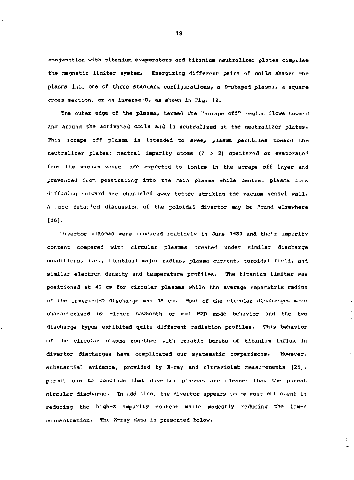conjunction with titanium evaporators and titanium neutralizer plates comprise the magnetic limiter system. Energizing different pairs of coils shapes the plasma into one of three standard configurations, a D-shaped plasma, a square cross-section, or an inverse-D, as shown in Fig. 12.

The outer edge of the plasma, termed the "scrape off" region flows toward and around the activated coils and is neutralized at the neutralizer plates. This scrape off plasma is intended to sweep plasma particles toward the neutralizer plates; neutral impurity atoms  $(7 > 2)$  sputtered or evaporate<sup>A</sup> from the vacuum vessel are expected to ionize in the scrape off layer and prevented from penetrating into the main plasma while central plasma ions diffusing outward are channeled away before striking the vacuum vessel wall. A more detailed discussion of the poloidal divertor may be found elsewhere [26J.

Divertor plasmas were produced routinely in June 1980 and their impurity content compared with circular plasmas created under similar discharge conditions, i.e., identical major radius, plasma current, toroidal field, and similar electron density and temperature profiles. The titanium limiter was positioned at 42 cm for circular plasmas while the average separatrix radius of the lnverted-D discharge was 38 cm. Moat of the circular discharges were characterized by either sawtooth or m=1 KHD mode behavior and the two discharge types exhibited quite different radiation profiles. This behavior of the circular plasma together with erratic bursts of titanium influx in divertor discharges have complicated our systematic comparisons. However, substantial evidence, provided by X-ray and ultraviolet measurements [25] , permit one to conclude that divertor plasmas are cleaner than the purest circular discharge. In addition, the divertor appears to be most efficient in reducing the high-2 impurity content while modestly reducing the low-Z concentration- The X-ray data is presented below.

95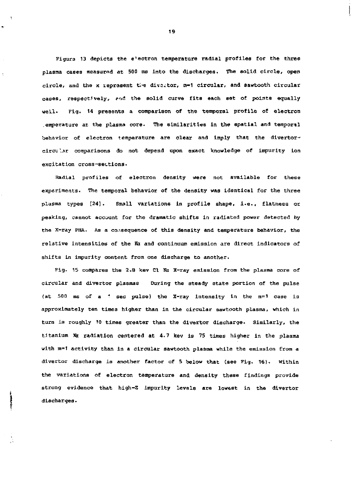Figura 13 depicts the e'ectron temperature radial profiles for the three plasma cases measurnd at 500 ms into the discharges. The solid circle, open circle, and the x reprasent the divartor, m-1 circular, and sawtooth circular cases, respectively, ?rid the solid curve fits each set of points equally weLl. Fig. 14 presents a comparison of the temporal profile of electron .emperature at the plasma core. The similarities in the spatial and temporal behavior of electron temperature are clear and imply that the divertorclrcu '..jr comparisons do not depend upon exact knowledge of impurity ion excitation cross-sections.

Radial profiles of electron density were not available for these experiments. The temporal behavior of the density was identical for the three plasma types [24]. Small variations in profile shape, i.e., flatness or peaking, cannot account for the dramatic shifts in radiated power detected by the x-ray PHA. As a consequence of this density and temperature behavior, the relative intensities of the Ka and continuum emission are direct indicators of shifts in impurity content from one discharge to another.

Fig. 15 compares the 2.8 kev Cl Ka X-ray emission from the plasma core of circular and divertor plasmas During the steady state portion of the pulse (at 500 ms of a " sec pulse) the X-ray intensity in the m=1 case is approximately ten times higher than in the circular sawtooth plasma, which in turn is roughly 10 times greater than the divertor discharge. Similarly, the titanium Xx radiation centered at 4.7 kev is 75 times higher in the plasma with m=1 activity than in a circular sawtooth plasma while the emission from a divertor discharge is another factor of 5 below that (see Fig, 16). Within the variations of electron temperature and density these findings provide strong evidence that high-Z impurity levels are lowest in the divertor discharges.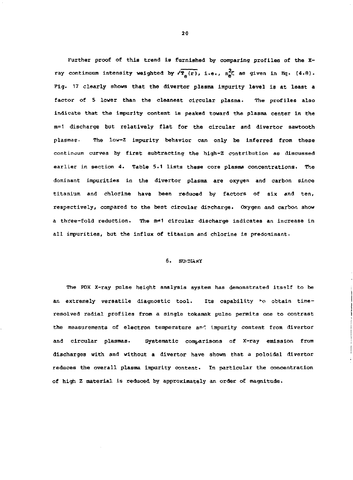Further proof of this trend is furnished by comparing profiles of the Xray continuum intensity weighted by  $\sqrt{T_{\alpha}(\mathbf{r})}$ , i.e.,  $n_{\alpha}^{2}\zeta$  as given in Eq. (4.8). Fig. 17 clearly shows that the divertor plasma impurity level is at least a factor of 5 lower than the cleanest circular plasma. The profiles also indicate that the impurity content is peaked toward the plasma center in the m=1 discharge but relatively flat for the circular and divertor sawtooth plasmas. The low-Z impurity behavior can only be inferred from these continuum curves by first subtracting the high-Z contribution as discussed earlier in section *4.* Table 5.1 lists these core plasma concentrations. The dominant impurities in the divertor plasma are oxygen and carbon since titanium and chlorine have been reduced by factors of six and ten, respectively, compared to the best circular discharge. Oxygen and carbon show a three-fold reduction. The m=1 circular discharge indicates an increase in all impurities, but the influx of titanium and chlorine is predominant.

## 6. SU: MARY

The PDX X-ray pulse height analysis system has demonstrated itself to be an extremely versatile diagnostic tool. Its capability to obtain timeresolved radial profiles from a single tokamak pulse permits one to contrast the measurements of electron temperature an'', impurity content from divertor and circular plasmas. Systematic comparisons of X-ray emission from discharges with and without a divertor have shown that a poloidal divertor reduces the overall plasma impurity content. In particular the concentration of high Z material is reduced by approximately an order of magnitude.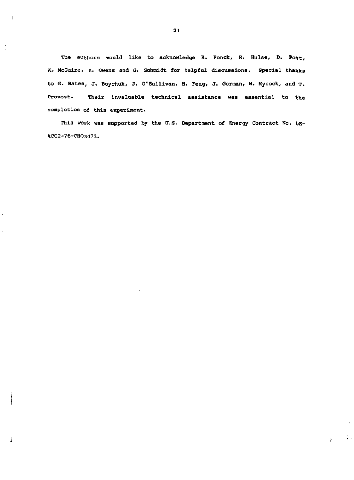**The authors vould like to acknowledge R. Fonck, R. Hulse, D. Post, K. McGuire, K, Owens and** *G.* **Schmidt for helpful dlscuBalons. Special thanks to G. Bates, J, Boychuk, J. O'Sulllvan, H. Feng, J. Gorman, W. Kycock, and T. Provost. Their invaluable technical assistance waa essential to the completion of this experiment.** 

**This work was supported by the** *U.S.* **Oepartment of Energy Contract No. CiE-ACO2-76-CHO3073.** 

> 一直的  $\mathcal{Y}$

i

 $\mathfrak{f}$ 

J.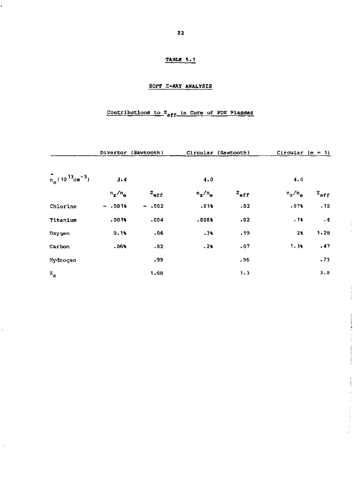# TABLE 5.1

# SOFT X-RAY ANALYSIS

# Contributions to  $z_{eff}$  in Core of PDX Plasmas

|                                                |           | Divertor (Sawtooth) |           | Circular (Sawtooth) | Circular $(m = 1)$ |               |
|------------------------------------------------|-----------|---------------------|-----------|---------------------|--------------------|---------------|
| $T_{n_e}$ (10 <sup>13</sup> cm <sup>-3</sup> ) | 3.4       |                     | 4.0       |                     | 4.0                |               |
|                                                | $n_z/n_e$ | $z_{\text{eff}}$    | $n_z/n_e$ | $z_{\text{eff}}$    | $n_z/n_e$          | $z_{\tt eff}$ |
| Chlorine                                       | ~1.0016   | $\sim .002$         | .01%      | .02                 | .073               | .15           |
| Titanium                                       | .0016     | .004                | .006%     | .02                 | .13                | .4            |
| Oxygen                                         | 0.16      | .06                 | $-35$     | .19                 | 2%                 | 1.28          |
| Carbon                                         | 500.      | .02                 | .28       | ,07                 | $1.3*$             | .47           |
| Hydrogen                                       |           | . 99                |           | .96                 |                    | .73           |
| $z_{x}$                                        |           | 1.08                |           | 1.3                 |                    | 3.0           |

 $\cdot$ 

 $\frac{1}{2}$  $\bar{1}$ 

> $\ddot{.}$  $\frac{1}{2}$

 $\ddot{\cdot}$ Ì  $\frac{1}{2}$  $\hat{\boldsymbol{\cdot}$ 

 $\frac{1}{2}$  , the sequence of  $\frac{1}{2}$ 

ï

 $\frac{1}{2}$ 

 $\bar{\bar{z}}$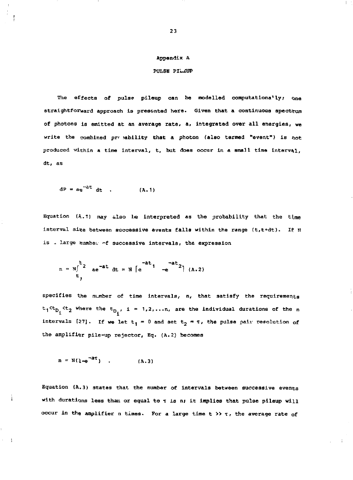#### **Appendix A**

## **PULSE PILJSUP**

**The effects of pulse pileup can be modelled computations<sup>1</sup> ly; one straightforward approach is presented here. Given that a continuous spectrum of photons is emitted at an average rate, a, integrated over all energies, we**  write the combined pro ability that a photon (also termed "event") is not **produced within a time interval, t. but does occur in a small time Interval, dt, as** 

$$
dP = ae^{-at} dt \t\t( A.1)
$$

Equation (A.1) may also be interpreted as the probability that the time interval size between successive events falls within the range (t,t+dt). If N **is - large tiumbex °f successive intervals, the expression** 

$$
n = N \int_{t_1}^{t_2} ae^{-at} dt = N \left[ e^{-at} - e^{-at} \right] (a.2)
$$

**specifies the nunber of time intervals, n, that satisfy the requirements <sup>t</sup> 1 < t D . < t 2 wner <sup>e</sup> the t <sup>D</sup> , i = 1,2,...n, are the individual durations of the n intervals** [27]. If we let  $t_1 = 0$  and set  $t_2 = \tau$ , the pulse pair resolution of **the amplifier pile-up rejector, Eq. (A.2) becomes** 

$$
n = N(1-e^{-aT})
$$
 (A.3)

 $\gamma=1$ 

**Equation (A.3) states that the number of intervals between successive events**  with durations less than or equal to  $\tau$  is n; it implies that pulse pileup will **occur in the amplifier n times. For a large time t >> T , the average rate of**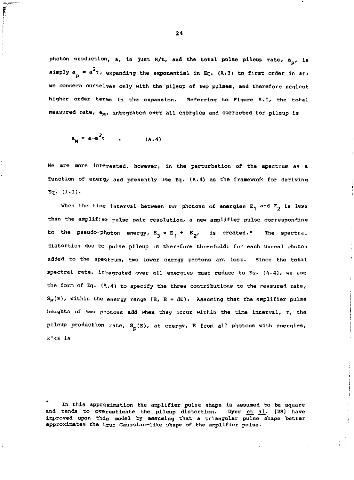photon production, a, is just N/t, and the total pulse pileup rate,  $a_{n}$ , is simply  $a_n = a^2\tau$ , expanding the exponential in Eq. (A.3) to first order in at; we concern ourselves only with the pileup of two pulses, and therefore neglect higher order terms in the expansion. Referring to Figure A.1, the total measured rate, a<sub>M</sub>, integrated over all energies and corrected for pileup is

$$
a_M = a^{-a^2 \tau} \qquad (A.4)
$$

Ī

We are more interested, however, in the perturbation of the spectrum as a function of energy and presently use Eq.  $\{A.4\}$  as the framework for deriving Eq. (1.1).

When the time interval between two photons of energies  $E_1$  and  $E_2$  is less than the araplif*i*er pulse pair resolution, a new amplifier pulse corresponding to the pseudo-photon energy,  $E_2 \approx E_1 + E_2$ , is created.\* The spectral distortion due to pulse pileup is therefore threefold; for each unreal photon added to the spectrum, two lower energy photons arr. lost. Since the total spectral rate, integrated over all energies must reduce to Eq. (A.4), we use the form of Eq.  $(A.4)$  to specify the three contributions to the measured rate,  $S_M(E)$ , within the energy range  $(E, E + dE)$ . Assuming that the amplifier pulse heights of two photons add when they occur within the time interval,  $\tau$ , the pileup production rate,  $S_p(E)$ , at energy, E from all photons with energies, E'<E is

In this approximation the amplifier pulse shape is assumed to be square and tends to overestimate the pileup distortion. Dyer  $et_{al}$ . [28] have improved upon this model by assuming that a triangular pulse shape better approximates the true Gaussian-like shape of the amplifier pulse.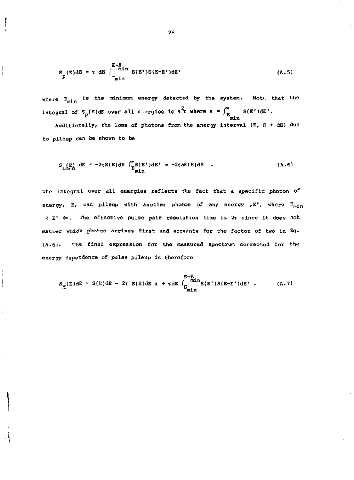$$
S_{p}(E)dE = \tau dE \int_{-\frac{\pi in}{\pi in}}^{\frac{E-E}{\pi in}} S(E^*)S(E-E^*)dE^* \qquad (A.5)
$$

where  $\mathbb{E}_{\text{min}}$  is the minimum energy detected by the system. Note that the integral of  $S_p(E)$ dE over all  $e$  argies is a<sup>2</sup>t where a =  $\int_{E_{n,i}}^{\infty} S(E^t) dE^t$ .

**min Additionally, the loss of photons from the energy interval (E,** *e +* **dE) due**  to pileup dan be shown to be

$$
S_{\text{L} \times \text{L} \times \text{S}} \text{d}E = -2\tau S(E) \text{d}E \stackrel{\text{m}}{E} S(E^{\dagger}) \text{d}E^{\dagger} = -2\tau \text{d}S(E) \text{d}E \quad . \tag{A.6}
$$

The integral over all energies reflects the fact that a specific photon of energy, E, can pileup with another photon of any energy ,E', where  $\mathbb{E}_{\text{mix}}$ < E" +». The effective pulse pair resolution time is 2r since it does not matter which photon arrives first and accounts for the factor of two in Eq. (A.6). The final expression for the measured spectrum corrected for the energy dependence of pulse pileup is therefore

$$
S_{\text{M}}(E)dE = S(E)dE - 2\tau S(E)dE \text{ a } + \tau dE \int_{E_{\text{min}}}^{E-E} S(E')S(E-E')dE' \text{ .}
$$
 (A.7)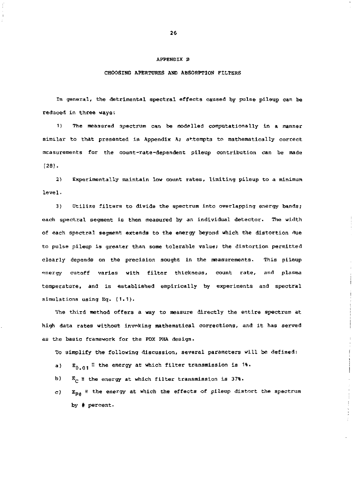#### **APPENDIX B**

#### **CHOOSING APERTURES AND ABSORPTION** FILTERS

In general, the detrimental spectral effects caused by pulse pileup can be reduced in three ways:

1) The measured 3pectrum can be modelled computationally in a manner similar to that presented in Appendix A; attempts to mathematically correct measurements for the count-rate-dependent pileup contribution can be made [28].

*2)* Experimentally maintain low count rates, limiting pileup to a minimum level.

3) Utilize filters to divide the spectrum into overlapping energy bands; each spectral segment is then measured by an individual detector. The width of each spectral segment extends to the energy beyond which the distortion due to pulse pileup is greater than some tolerable value; the distortion permitted clearly depends on the precision sought in the measurements. This pileup energy cutoff varies with filter thickness, count rate, and plasma temperature, and is established empirically by experiments and spectral simulations using Eq. (1.1).

The third method offers a way to measure directly the entire spectrum at high data rates without invoking mathematical corrections, and it has served as the basic framework for the PDX PHA design.

To simplify the following discussion, several parameters will be defined:

- a)  $E_{0.01} \equiv$  the energy at which filter transmission is 1%.
- b)  $E_{\alpha}$  = the energy at which filter transmission is 37%.
- c)  $E_{p#}$  = the energy at which the effects of pileup distort the spectrum by # percent.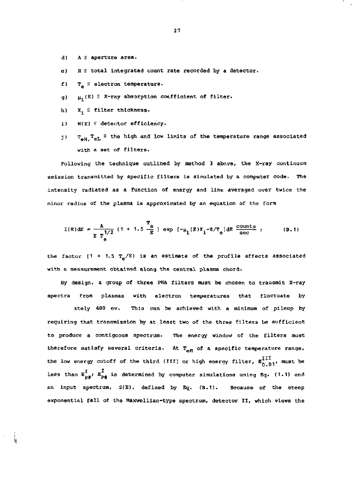- d) A = aperture area.
- e)  $R \equiv$  total integrated count rate recorded by a detector.
- $f$ ) T<sub>2</sub>  $\equiv$  electron temperature.
- g)  $\mu_4(E) \equiv X$ -ray absorption coefficient of filter.
- h)  $X_4 \equiv$  filter thickness.

牑

- i)  $N(E) =$  detector efficiency.
- j)  $T_{\text{all}}T_{\text{eff}}$  = the high and low limits of the temperature range associated with a set of filters.

Following the technique outlined by method 3 above, the X-ray continuum emission transmitted by specific filters is simulated by a computer code. The intensity radiated as a function of energy and line averaged over twice the minor radius of the plasma is approximated by an equation of the form

$$
I(E) \, \mathrm{d}E = \frac{A}{E T_{\text{e}}^{1/2}} \left( 1 + 1.5 \frac{T_{\text{e}}}{E} \right) \, \exp \left[ -\mu_1(E) X_1 - E/T_{\text{e}} \right] \, \mathrm{d}E \, \frac{\text{counts}}{\text{sec}} \quad ; \tag{B.1}
$$

the factor (1 + 1.5  $T_a/E$ ) is an estimate of the profile effects associated with a measurement obtained along the central plasma chord.

By design, a group of three PHA filters must be chosen to transmit X-ray spectra from plasmas with electron temperatures that fluctuate by

ately 400 ev. This can be achieved with a minimum of pileup by requiring that transmission by at least two of the three filters be sufficient to produce a contiguous spectrum. The energy window of the filters must therefore satisfy several criteria. At  $T_{\text{eff}}$  of a specific temperature range, the low energy cutoff of the third (III) or high energy filter,  $E_{0.01}^{III}$ , must be less than  $E_{\text{D4}}^{\text{I}}$ ,  $E_{\text{D4}}^{\text{I}}$  is determined by computer simulations using Eq. (1.1) and an input spectrum,  $3(E)$ , defined by Eq.  $(B.1)$ . Because of the steep exponential fall of the Maxwellian-type spectrum, detector II, which views the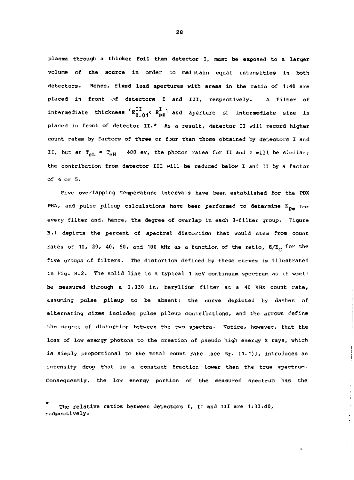plasma through a thicker foil than detector I, must be exposed to a larger volume of the source in order to maintain equal intensities in both detectors. Hence, fixed lead apertures with areas in the ratio of 1:40 are placed in front of detectors I and III, respectively. A filter of intermediate thickness  $\mathbb{E}^{\bullet}_{0,0}$   $\mathbb{E}^{\bullet}_{0,0}$  and aperture of intermediate size is placed in front of detector II.\* As a result, detector II will record higher count rates by factors of three or four than those obtained by detectors I and II, but at  $T_{\text{eff}} = T_{\text{eff}} = 400$  ev, the photon rates for II and I will be similar; the contribution from detector III will be reduced below I and II by a factor of 4 or 5.

Five overlapping temperature intervals have been established for the PDX PHA, and pulse pileup calculations have been performed to determine  $E_{p\#}$  for every filter and, hence, the degree of overlap in each 3-fliter group. Figure B.1 depicts the percent of spectral distortion that would stem from count rates of 10, 20, 40, 60, and 100 kHz as a function of the ratio,  $E/E_c$  for the five groups of filters. The distortion defined by these curves is illustrated in Pig. B.2. The solid line is a typical 1 keV continuum spectrum as it would be measured through a 0.030 in. beryllium filter at a 40 kHz count rate, assuming pulse pileup to be absent; the curve depicted by dashes of alternating sizes includes pulse pileup contributions, and the arrows define the degree of distortion between the two spectra. Notice, however, that the loss of low energy photons to the creation of pseudo high energy X rays, which is simply proportional to the total count rate [see Eg. (1.1)], introduces an intensity drop that is a constant fraction lower than the true spectrum. Consequently, the low energy portion of the measured spectrum has the

# The relative ratios between detectors I, II and III are 1:30:40, respectively.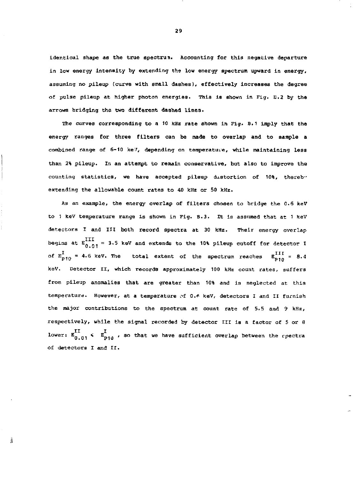identical shape as the true spectrun. Accounting for this negative departure in low energy intensity by extending the low energy spectrum upward in energy, assuming no pileup (curve with small dashes), effectively increases the degree of pulse pileup at higher photon energies. This is shown in Pig, B.2 by the arrows bridging the two different dashed lines.

The curves corresponding to a 10 kHz rate shown in Fig. B.1 imply that the energy ranges for three filters can be made to overlap and to sample a combined range of 6-10 ke7, depending on tamperatuve, while maintaining less than 2% pileup. In an attempt to remain conservative, but also to improve the counting statistics, we have accepted pileup distortion of 10%, thereby extending the allowable count rates to 40 kHz or 50 kHz.

as an example, the energy overlap of filters chosen to bridge the 0.6 keV to 1 keV temperature range Is shown in Fig. B.3. It is assumed that at 1 keV detectors I and III both record spectra at 30 kHz. Their energy overlap begins at  $E_{0.01}^{III}$  = 3.5 keV and extends to the 10% pileup cutoff for detector I of  $E_{p_{10}}^I$  = 4.6 keV. The total extent of the spectrum reaches  $E_{p_{10}}^{III}$  = 8.4 keV. Detector II, which records approximately 100 kHz count rates, suffers from pileup anomalies that are greater than 10% and is neglected at this temperature. However, at a temperature of 0.\* keV, detectors I and II furnish the major contributions to the spectrum at count rate of 5.5 and 9 kHz, respectively, while the signal recorded by detector III is a factor of 5 or 8 lower:  $\begin{array}{lcl} \text{I} & \text{I} & \text{I} \ \text{for} & \mathbb{E}_{\text{D1d}} \end{array}$  , so that we have sufficient overlap between the  $\text{cpecti}$ of detectors I and II.

Â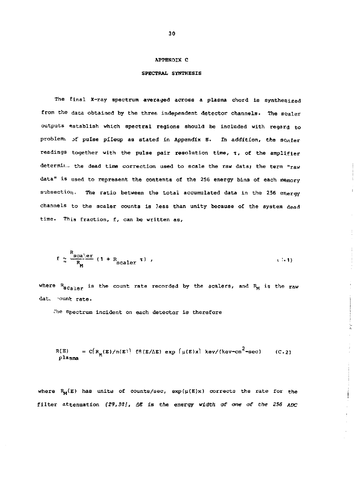#### APPENDIX C

# SPECTRAL SYNTHESIS

The final X-ray spectrum averaged across a plasma chord ia synthesized from the data obtained by the three independent detector channels. The scaler outputs establish which spectral regions should be included with regard to problems of pulse pileup as stated in Appendix E. In addition, the scaler readings together with the pulse pair resolution time, T, of the amplifier  $d$ etermin<sub>i</sub> the dead time correction used to scale the raw data; the term "raw data" is used to represent the contents of the 2S6 energy bins of each memory subsection. The ratio between the total accumulated data in the 256 energy channels to the scaler counts is less than unity because of the system dead time. This fraction, f, can be written as,

$$
f \approx \frac{R_{\text{scale}}}{R_{\text{M}}}
$$
 (1 + R\_{\text{scalar}} \tau) , (1 + 1)

where  $R_{\rm g_{CalPT}}$  is the count rate recorded by the scalers, and  $R_{\rm M}$  is the raw dat. ount rate.

The spectrum incident on each detector is therefore

$$
R(E) = C[R_M(E)/n(E)]
$$
  $eff(E/\Delta E) exp [\mu(E)x]$   $key/(kev-cm^2-sec)$  (C.2)  $p$   $l$   $ds$ 

 $\label{eq:3} \begin{split} \mathcal{L}_{\mathcal{P}}(\mathcal{L}_{\mathcal{P}}) = \mathcal{L}_{\mathcal{P}}(\mathcal{L}_{\mathcal{P}}) = \mathcal{L}_{\mathcal{P}}(\mathcal{L}_{\mathcal{P}}) = \mathcal{L}_{\mathcal{P}}(\mathcal{L}_{\mathcal{P}}) = \mathcal{L}_{\mathcal{P}}(\mathcal{L}_{\mathcal{P}}) \end{split}$ 

where  $R_M(E)$  has units of counts/sec, exp( $\mu(E)x$ ) corrects the rate for the filter attenuation *(29,3<1!, &S* is the energy width *of* one- *a£ the 256 AOC*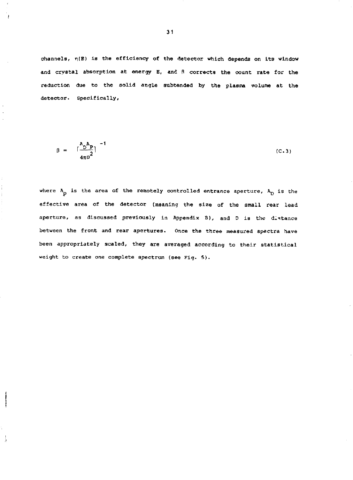channels,  $\eta(B)$  is the efficiency of the detector which depends on its window and crystal absorption at energy E, and fl corrects the count rate for the reduction due to the solid angle subtended by the plasma volume at the detector. Specifically,

$$
\beta = \left[\frac{A_{D}A_{P}}{4\pi\sigma^{2}}\right]^{-1} \tag{C.3}
$$

where  $A_p$  is the area of the remotely controlled entrance aperture,  $A_p$  is the effective area of the detector (meaning the size of the small rear lead aperture, as discussed previously in Appendix 8), and D is the distance between the front and rear apertures. Once the three measured spectra have been appropriately scaled, they are averaged according to their statistical weight to create one complete spectrum (see Fig. 5).

Å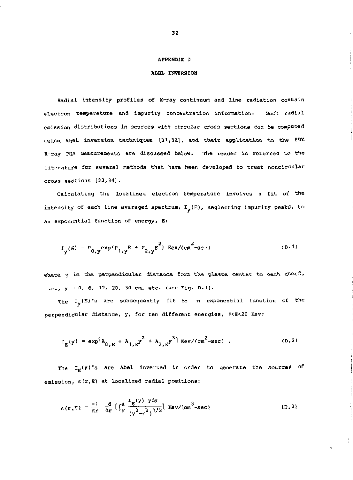#### APPENDIX D

 $\mathbf{1}$ 

# ABEL INVERSION

Radial intensity profiles of X-ray continuum and line radiation contain electron temperature and impurity concentration information. Such radial emission distributions in sources with circular cross sections can be computed using Abel inversion techniques (31,32), and their application to the PBX X-ray PHA measurements are discussed below. The reader is referred to the literature for several methods that have been developed to treat noncircular cross sections [33,34].

Calculating the localized electron temperature involves a fit of the intensity of each line averaged spectrum,  $I_{\mathbf{y}}(E)$ , neglecting impurity peaks, to an exponential function of energy, E:

$$
I_{y}(F) = P_{0,y} exp^{i} P_{1,y} E + P_{2,y} E^{2} | Rev/(cn^{2} - sec^{-1})
$$
 (D.1)

where y is the perpendicular distance from the plasma center to each chord, i.e.,  $y = 0$ , 6, 12, 20, 30 cm, etc. (see Fig. D.1).

The  $I_{\mathbf{y}}(\mathbf{E})$ 's are subsequently fit to 'n exponential function of the perpendicular distance, y, for ten different energies, 1<E<20 Kev:

$$
I_{E}(y) = \exp[\lambda_{0,E} + \lambda_{1,E}y^{2} + \lambda_{2,E}y^{3}] \text{ Rev/(cm}^{2}\text{-sec}). \qquad (D.2)
$$

The  $I_g(y)$ 's are Abel inverted in order to generate the sources of emission,  $E(r, E)$  at localized radial positions:

$$
E(r, E) = \frac{-1}{\pi r} \frac{d}{dr} \left[ \int_{r}^{a} \frac{I_{E}(y) y dy}{(y^{2} - r^{2})^{1/2}} \right] \text{ Kev/(cm}^{3} - \text{sec})
$$
 (D.3)

 $32<sub>2</sub>$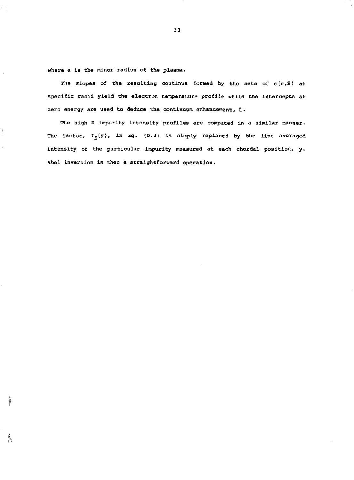where a is the minor radius of the plasma.

 $\mathbf{f}_{\mathrm{R}}$ 

The slopes of the resulting continua formed by the sets of  $\varepsilon(r,E)$  at specific radii yield the electron temperature profile while the intercepts at zero energy are used to deduce the continuum enhancement,  $\zeta$ .

The high Z impurity Intensity profiles are computed in a similar manner. The factor,  $I_E(y)$ , in Eq. (D.3) is simply replaced by the line averaged intensity or the particular impurity measured at each chordal position, y. Abel inversion is then a straightforward operation.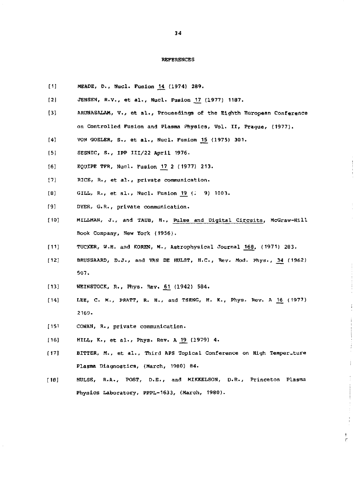#### REFERENCES

- [1] MEADE, D., Nucl. Fusion 14 (1974) 289.
- [2] JENSEN, R.V., et al., Nucl. Fusion 17 (1977) 1187.
- [3} ARUNASALRM, V., et al.. Proceedings of the Eighth European Conference on Controlled Fusion and Plasma Physics, Vol. II, Prague, (1977).
- [4] VON GOELER, S., et al., Nucl. Fusion 15 (1975) 301.
- [5] SESNIC, S., IPP 111/22 April 1976.
- [6] EQUIPE TFR, Nucl. Fusion \_V7\_ 2 (1977) 213.
- [7] RICE, R., et al., private communication.
- (8) GILL, R., et al., Nucl. Fusion <u>19</u> (. 9) 1003
- [9] DYER, G.R., private communication.
- [10] MILLMAN, J., and TAUB, H., Pulse and Digital Circuits, McGraw-Hill Book Company, New York (1956).
- [II] TUCKER, W.H. and KOREN, M., Astrophysical Journal 168, (1971) 283.
- $[12]$  BRUSSAARD, D.J., and VAN DE HULST, H.C., Rev. Mod. Phys., 34 (1962) 507.
- [13] WEINSTOCK, R., Phys. Rev. 61 (1942) 584.
- [14] LEE, C. M., PRATT, R. H., and TSENG, H. K., Phys. Rev. A 16 (1977) 2169-
- [15' COWAN, R., private communication.
- [16] HILL, K., et al., Phys. Rev. A 19 (1979) 4.
- [17] BITTER, H., et al.. Third APS Topical Conference on High Temperature Plasma Diagnostics, (March, 1960) 84.
- [18] HULSE, R.A., POST, D.E., and MIKKELSON, D.R., Princeton Plasma Physics Laboratory, PPPL-1633, (March, 1980).

ţ.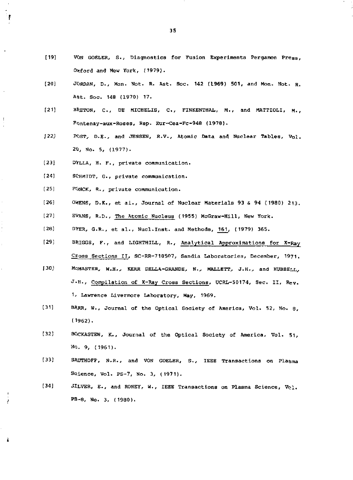- [19] VON GOELER, S., Diagnostics for Fusion Experiments Pergamon Presg, Oxford and New York, (1979).
- [20] JORDAN, D., Mon. Not. R. Ast. Soc. 142 (1969) 501, and Mon. Not. R. A\$t. Soc, 148 (1970) 17.
- [21] BRETON, C., DE MICHELIS, C., FINKENTHAL, M., and MATTIOLI, M., Pdntenay-aux-Roses, Rep. Eur-Cea-Fc-948 (1978).
- J22J POST, D.E., and JENSEN, R.V., Atomic Data and Nuclear Tables, Vol. 20, No. 5, (1977).
- [23] DYLLA, H. F., private communication.
- [24] SCHMIDT, G., private communication.
- [25] FONCK, R., private communication.

 $\mathbf{F}$ 

÷

à. à.

 $\hat{\mathbf{r}}$ 

į

È

- [26] OWENS, D.K., et al., Journal of Nuclear Materials 93 & 94 (1980) 213.
- [27] EVANS, R.D., The Atomic Nucleus (1955) McGraw-Hill, New York.
- [28] DYER, G.R., et al., Nucl.Inst. and Methoda, 161, (1979) 365.
- [29] BRIGGS, F., and LIGHTHILL, R., Analytical Approximations for X-Ray Croaa Sections II, SC-RR-710507, Sandia laboratories, December, 1971.
- J30) MQMASTER, W.H., KERR DELLA-GRANDE, N., MALLETT, J.H., and HUBBELL, J-H., Compilation of X-Ray Cross Sections, UCRL-50174, Sec. II, Rev. 1J. Lawrence Livermore Laboratory, May, 1969.
- [31] BARR, W., Journal of the Optical Society of America, Vol. 52, No. 8, (1962).
- [32] BOCKASTEN, K., Journal of the Optical Society of America, Vol. 51, No. 9, (1961).
- [33] SAUTHOFF, N.R., and VON GOELER, S., IEEE Transactions on Plasma Science, Vol. PS-7, No. 3, (1971).
- [34]  $JLVER, E., and RONEY, W., IEEE Transactions on Plasma Science, Vc.1,$ PS-8, No. 3, (1980).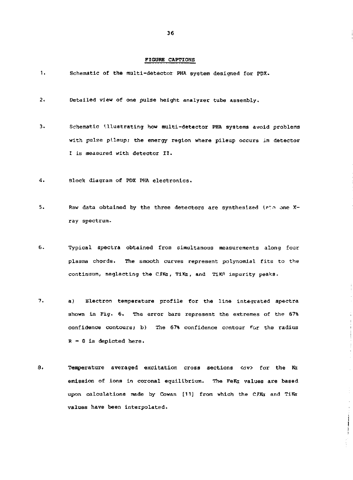#### FIGURE CAPTIONS

| -1. |  |  |  | Schematic of the multi-detector PHA system designed for PDX. |  |  |  |  |  |
|-----|--|--|--|--------------------------------------------------------------|--|--|--|--|--|
|-----|--|--|--|--------------------------------------------------------------|--|--|--|--|--|

- $2<sub>1</sub>$ Detailed view of one pulse height analyzer tube assembly.
- $\overline{3}$ Schematic illustrating how multi-detector PHA systems avoid problems with pulse pileup; the energy region where pileup occurs in detector I is measured with detector II.
- $4.$ Block diagram of PDX PHA electronics.
- 5. Raw data obtained by the three detectors are synthesized into one  $X$ ray spectrum.
- 6. Typical spectra obtained from simultanous measurements along four plasma chords. The smooth curves represent polynomial fits to the continuum, neglecting the C*l*Ka, TiKa, and TiKA impurity peaks.
- $7.$ a) Electron temperature profile for the line integrated spectra shown in Fig. 6. The error bars represent the extremes of the 67% confidence contours; b) The 67% confidence contour For the radius *R* = 0 is depicted here.

 $\frac{1}{1}$ 

 $\label{eq:3.1} \begin{split} \mathcal{L}_{\text{in}}(\mathcal{L}_{\text{in}}(\mathcal{L}_{\text{out}}),\mathcal{L}_{\text{out}}(\mathcal{L}_{\text{out}}),\mathcal{L}_{\text{out}}(\mathcal{L}_{\text{out}}),\mathcal{L}_{\text{out}}(\mathcal{L}_{\text{out}}),\mathcal{L}_{\text{out}}(\mathcal{L}_{\text{out}}),\mathcal{L}_{\text{out}}(\mathcal{L}_{\text{out}}(\mathcal{L}_{\text{out}}),\mathcal{L}_{\text{out}}(\mathcal{L}_{\text{out}}),\mathcal{L}_{\text{out}}(\mathcal{L}_{\text{out}}(\$ 

8. Temperature averaged excitation cross sections <av> for the Ka emission of ions in coronal equilibrium. The FeKa values are based upon calculations made by Cowan [11] from which the CJXa and TiKa values have been interpolated.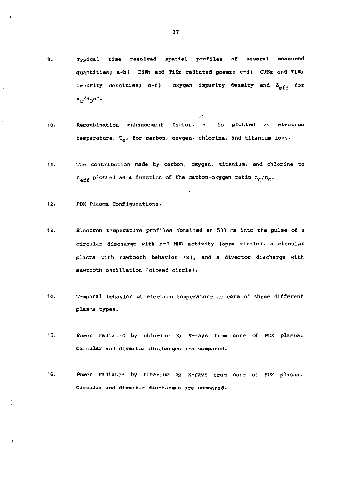- Typical time resolved spatial profiles of several measured 9. quantities; a-b) *CZKx* and TiRi radiated power; c-d) CAKi and TiKfr impurity densities; c-f) oxygen impurity density and  $Z_{\text{aff}}$  for  $n_{\rm c}/n_{\rm g} = 1.$
- Recombination enhancement factor, *y* is plotted vs electron 10. temperature,  $T_{\alpha}$ , for carbon, oxygen, chlorine, and titanium ions.
- $11.$  $T_{i,s}$  contribution made by carbon, oxygen, titanium, and chlorina to  $Z_{\text{aff}}$  plotted as a function of the carbon-oxygen ratio  $n_{\text{C}}/n_{\text{O}}$ .

 $12.$ PDX Plasma Configurations.

 $\sim$  10

- $13.$ Electron temperature profiles obtained at 500 ms into the pulse of a circular discharge with m=1 MHD activity (open circle), a circular plasma with sawtooth behavior  $(x)$ , and a divertor discharge with sawtooth oscillation (closed circle).
- $14.$ Temporal behavior of electron temperature at core of three different plasma types.
- $15.$ Power radiated by chlorine Kx X-rays from core of PDX plasma. Circular and divertor discharges are compared.
- 16. Power radiated by titanium Ka X-rays from core of PDX plasma. Circular and divertor discharges are compared.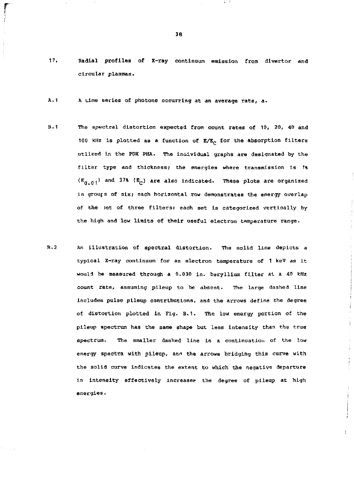- 17. Radial profiles of X-ray continuum emission from divertor and circular plasmas.
- $A.1$ A time series of photons occurring at an average rate, a.
- $B.1$ The spectral distortion expected from count rates of 10, 20, 40 and 100 kHz is plotted as a function of  $E/E_C$  for the absorption filters utlized in the PDX PHA. The individual graphs are designated by the filter type and thickness; the energies where transmission is 1%  $(E_{0.01})$  and 37% ( $E_{c}$ ) are also indicated. These plots are organize in grouts of six; each horizontal row demonstrates the energy overlap of the set of three filters? each set is categorized vertically by the high and low limits of their useful electron temperature range.
- $B.2$ An illustration of spectral distortion. The solid line depicts a typical X-ray continuum for an electron temperature of 1 keV as it would be measured through a 0.030 In. beryllium filter at a 40 *kHz*  count rate, assuming pileup to be absent. The large dashed line includes pulse pileup contributions, and the arrows define the degree of distortion plotted in Fig. B.I. The low energy portion of the pileup spectrum has the same shape but less intensity than the true spectrum. The smaller dashed line is a continuation of the low energy spectra with pileup, ann the arrows bridging this curve with the solid curve indicates the extent to which the negative departure in intensity effectively increaser the degree of pileup at high energies•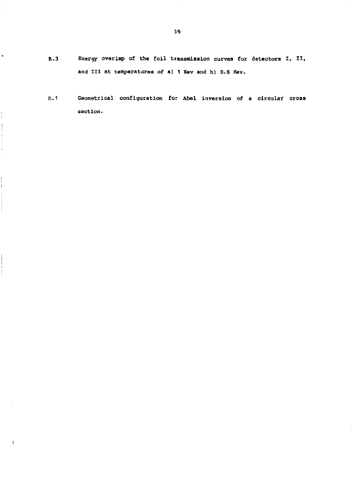**B.3 Energy overlap of the foil transmission curves for datectors I, II, and III at temperatures of a) 1 Kev and b) 0.6 Kev.** 

 $\bullet$ 

 $\frac{1}{2}$ 

 $\frac{1}{2}$  . The contract of  $\mathcal{A}$  is a set of  $\mathcal{A}$ 

ł

 $\begin{aligned} \mathcal{L}_{\text{in}}(\mathcal{L}_{\text{in}}) = \mathcal{L}_{\text{in}}(\mathcal{L}_{\text{in}}) = \mathcal{L}_{\text{in}}(\mathcal{L}_{\text{in}}) \end{aligned}$ 

 $\pmb{\ell}$ 

**D.I Geometrical configuration for Abel inversion of a circular cross section.**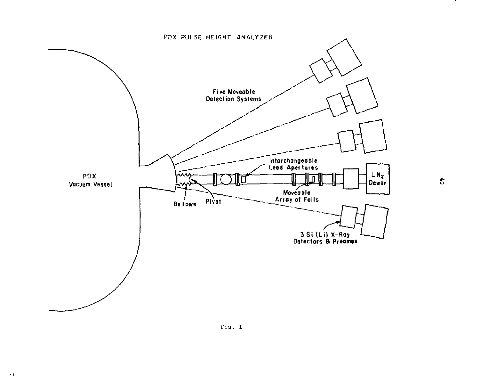

 $\frac{4}{5}$ 

Fig. 1

 $\omega$  $\sim$  100  $\pm$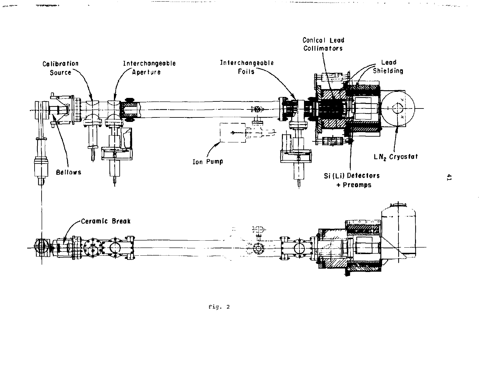

 $\frac{4}{11}$ 

 $\sigma_{\rm{max}}=0.000$  ,  $\sigma_{\rm{max,max}}$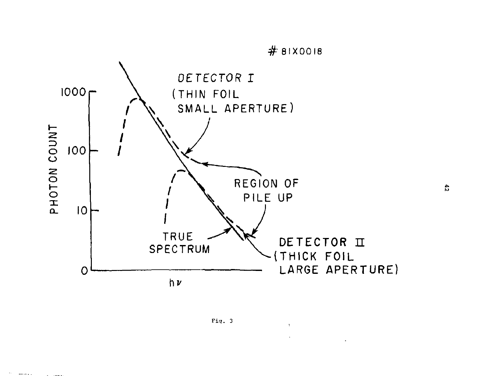



 $\mathcal{D}^{\text{c}}$  . There is a  $\mathcal{D}$ 

÷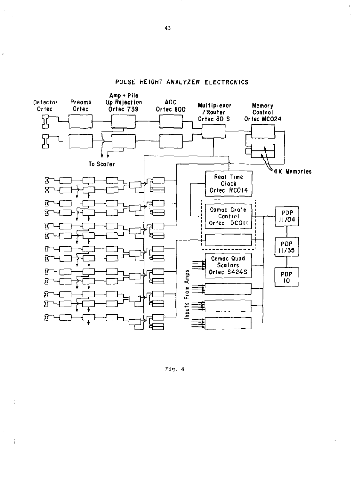

**PULSE HEIGHT ANALYZER ELECTRONICS** 

Fig. 4

 $\overline{a}$ 

 $\frac{1}{3}$ 

 $\mathring{\mathring{}}$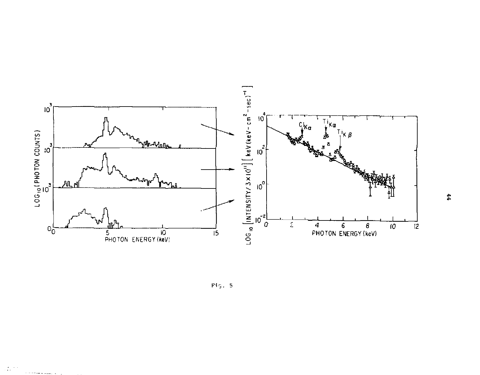

 $Fig.5$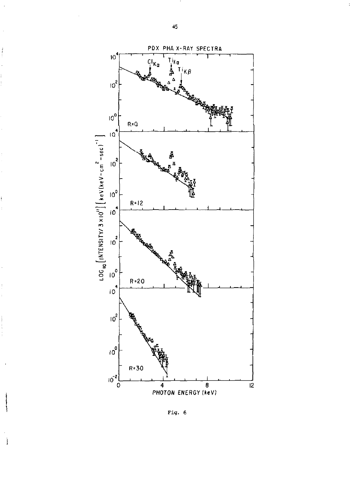

Fig. 6

ł

Ì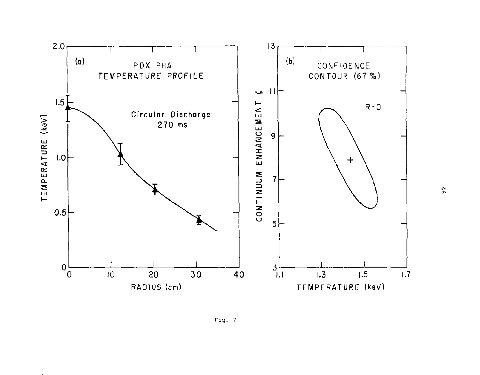

Fig. 7

 $46\,$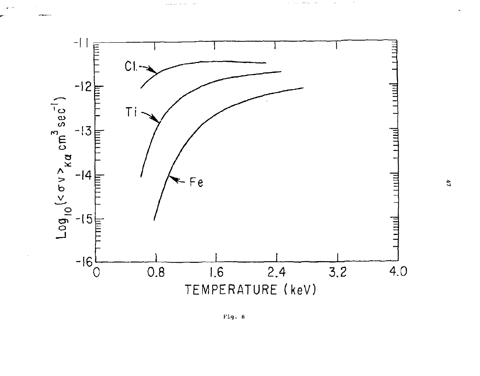

a construction  $\alpha \in \mathcal{A}$  $\cdot$  $\cdot$ 

Kig. 8

 $\mathfrak{c}_1$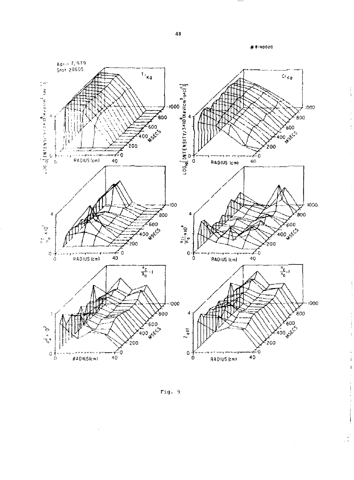#8110020

 $\frac{1}{1}$ 

 $\frac{1}{2}$ 

 $\bar{\Gamma}$ 

l,

ĵ

j

J)

 $\overline{\phantom{a}}$ 



Fig. 9

÷,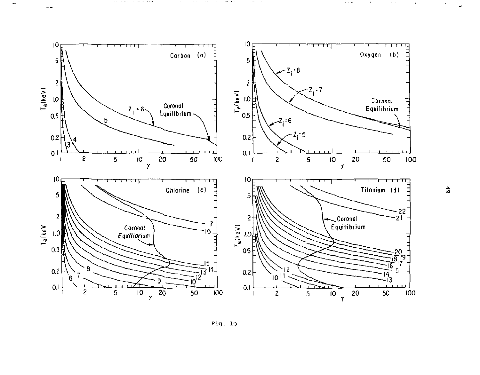

 $\mathcal{A}^{\mathcal{A}}$  and  $\mathcal{A}^{\mathcal{A}}$  and  $\mathcal{A}^{\mathcal{A}}$ 

 $\sim$ 

 $\label{eq:1} \mathcal{L}_{\mathbf{S}}(\mathbf{x},\mathbf{y})=\mathcal{L}_{\mathbf{S}}(\mathbf{x},\mathbf{y})=\mathcal{L}_{\mathbf{S}}(\mathbf{x},\mathbf{y})+\mathcal{L}_{\mathbf{S}}(\mathbf{x},\mathbf{y})+\mathcal{L}_{\mathbf{S}}(\mathbf{x},\mathbf{y})+\mathcal{L}_{\mathbf{S}}(\mathbf{x},\mathbf{y})+\mathcal{L}_{\mathbf{S}}(\mathbf{x},\mathbf{y})+\mathcal{L}_{\mathbf{S}}(\mathbf{x},\mathbf{y})+\mathcal{L}_{\mathbf{S}}(\mathbf{x},\mathbf{y})+\mathcal{L}_{$ 

 $\cdots$ 



 $\mathfrak{S}$ 

 $\sim$   $\sim$ 

 $\cdot$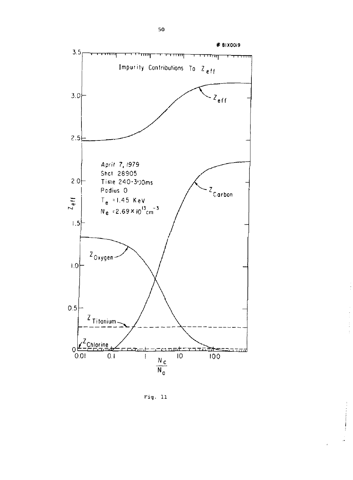

 $\frac{1}{\epsilon}$ 

计中间 计

à.

 $Fig. 11$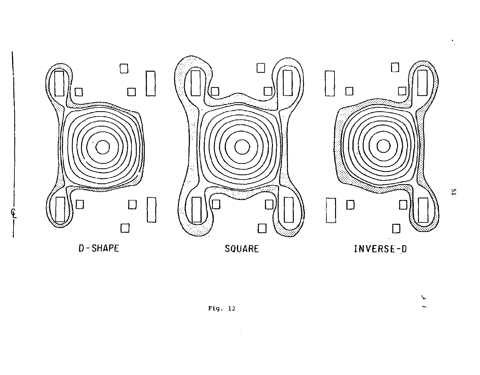

 $\mathcal{A}$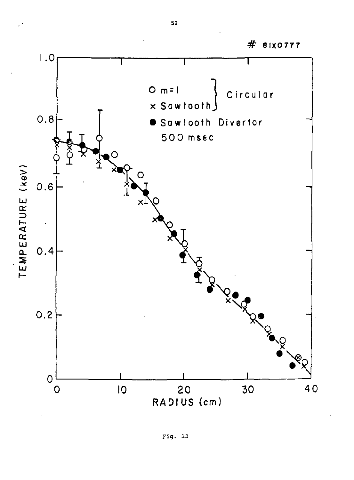

# Fig. 13

 $#$  81x0777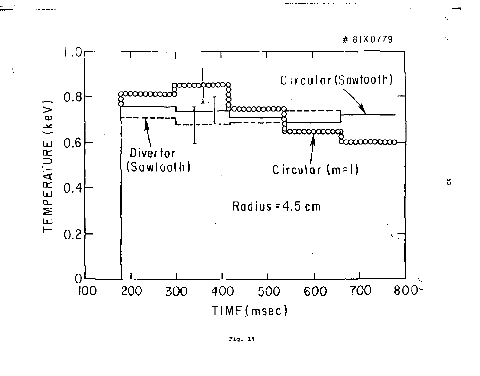

۵ĥ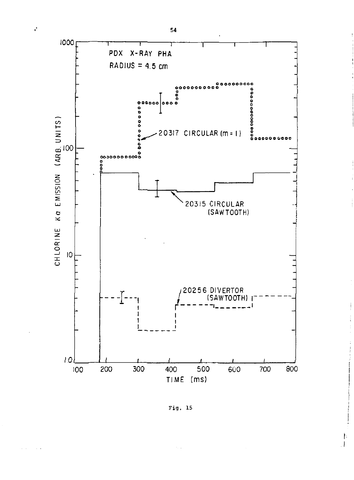



Fig. 15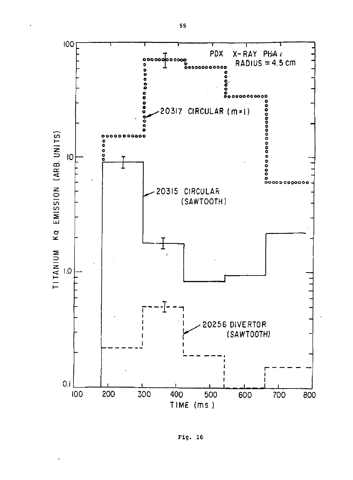![](_page_56_Figure_0.jpeg)

Fig. 16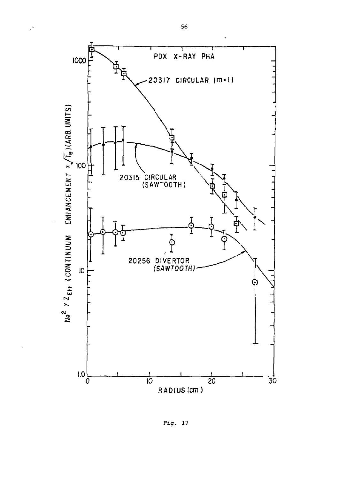![](_page_57_Figure_0.jpeg)

 $\mathcal{C}$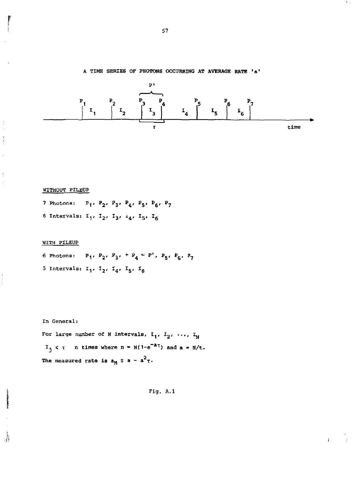A TIME SERIES OF PHOTONS OCCURRING AT AVERAGE RATE 'a'

![](_page_58_Figure_1.jpeg)

# WITHOUT PILEUP

 $\frac{1}{2}$ 

 $\frac{1}{2}$ 

 $\mathring{\mathbb{R}}$ 

7 Photons:  $P_1$ ,  $P_2$ ,  $P_3$ ,  $P_4$ ,  $P_5$ ,  $P_6$ ,  $P_7$ 6 Intervals:  $I_1$ ,  $I_2$ ,  $I_3$ ,  $I_4$ ,  $I_5$ ,  $I_6$ 

# WITH PILEUP

6 Photons:  $P_1$ ,  $P_2$ ,  $P_3$ ,  $+ P_4 = P^1$ ,  $P_5$ ,  $P_6$ ,  $P_7$ 5 Intervals:  $I_1$ ,  $I_2$ ,  $I_4$ ,  $I_5$ ,  $I_6$ 

#### In General:

For large number of N intervals,  $I_1$ ,  $I_2$ , ...,  $I_N$  $I_j \le \tau$  n times where  $n = N(1-e^{-a\tau})$  and  $a = N/t$ . The measured rate is  $a_M \n\equiv a - a^2 \tau$ .

Fig. A.1

 $\mathbf{I}$ .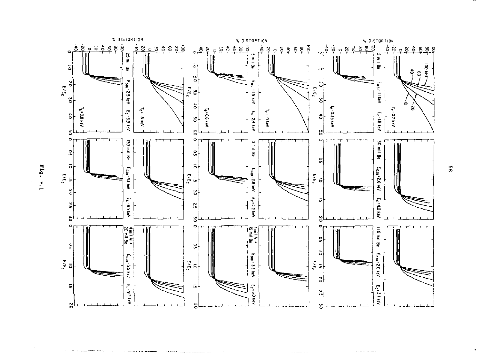![](_page_59_Figure_0.jpeg)

Fig. B.1

ပ္စာ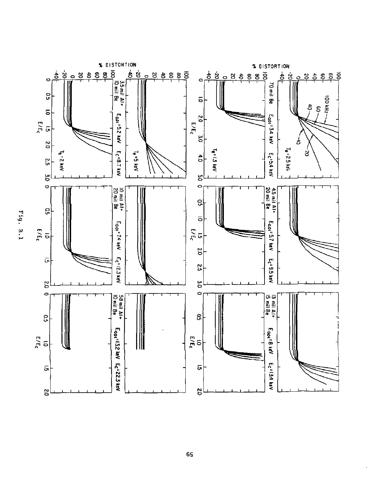![](_page_60_Figure_0.jpeg)

Fig. B.l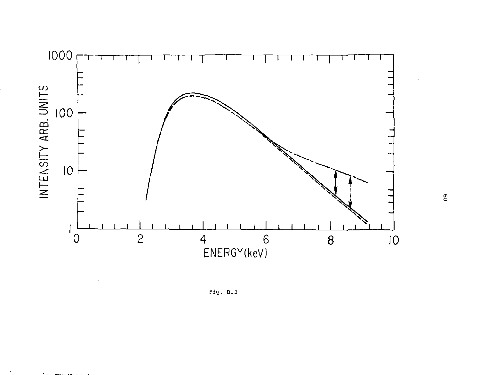![](_page_61_Figure_0.jpeg)

Fig.  $B.2$ 

×,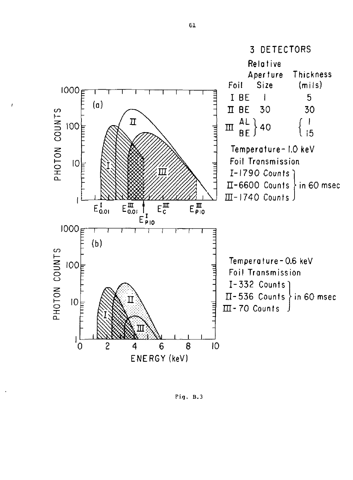![](_page_62_Figure_0.jpeg)

Fig, B.3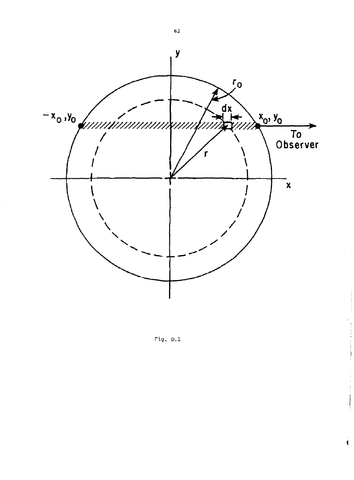![](_page_63_Figure_0.jpeg)

Fig. D.1

 $\frac{1}{3}$